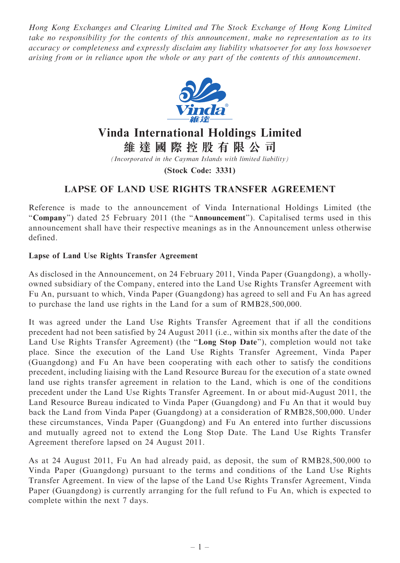Hong Kong Exchanges and Clearing Limited and The Stock Exchange of Hong Kong Limited take no responsibility for the contents of this announcement, make no representation as to its accuracy or completeness and expressly disclaim any liability whatsoever for any loss howsoever arising from or in reliance upon the whole or any part of the contents of this announcement.



## Vinda International Holdings Limited

維 達 國 際 控 股 有 限 公 司

(Incorporated in the Cayman Islands with limited liability)

(Stock Code: 3331)

## LAPSE OF LAND USE RIGHTS TRANSFER AGREEMENT

Reference is made to the announcement of Vinda International Holdings Limited (the "Company") dated 25 February 2011 (the "Announcement"). Capitalised terms used in this announcement shall have their respective meanings as in the Announcement unless otherwise defined.

## Lapse of Land Use Rights Transfer Agreement

As disclosed in the Announcement, on 24 February 2011, Vinda Paper (Guangdong), a whollyowned subsidiary of the Company, entered into the Land Use Rights Transfer Agreement with Fu An, pursuant to which, Vinda Paper (Guangdong) has agreed to sell and Fu An has agreed to purchase the land use rights in the Land for a sum of RMB28,500,000.

It was agreed under the Land Use Rights Transfer Agreement that if all the conditions precedent had not been satisfied by 24 August 2011 (i.e., within six months after the date of the Land Use Rights Transfer Agreement) (the ''Long Stop Date''), completion would not take place. Since the execution of the Land Use Rights Transfer Agreement, Vinda Paper (Guangdong) and Fu An have been cooperating with each other to satisfy the conditions precedent, including liaising with the Land Resource Bureau for the execution of a state owned land use rights transfer agreement in relation to the Land, which is one of the conditions precedent under the Land Use Rights Transfer Agreement. In or about mid-August 2011, the Land Resource Bureau indicated to Vinda Paper (Guangdong) and Fu An that it would buy back the Land from Vinda Paper (Guangdong) at a consideration of RMB28,500,000. Under these circumstances, Vinda Paper (Guangdong) and Fu An entered into further discussions and mutually agreed not to extend the Long Stop Date. The Land Use Rights Transfer Agreement therefore lapsed on 24 August 2011.

As at 24 August 2011, Fu An had already paid, as deposit, the sum of RMB28,500,000 to Vinda Paper (Guangdong) pursuant to the terms and conditions of the Land Use Rights Transfer Agreement. In view of the lapse of the Land Use Rights Transfer Agreement, Vinda Paper (Guangdong) is currently arranging for the full refund to Fu An, which is expected to complete within the next 7 days.